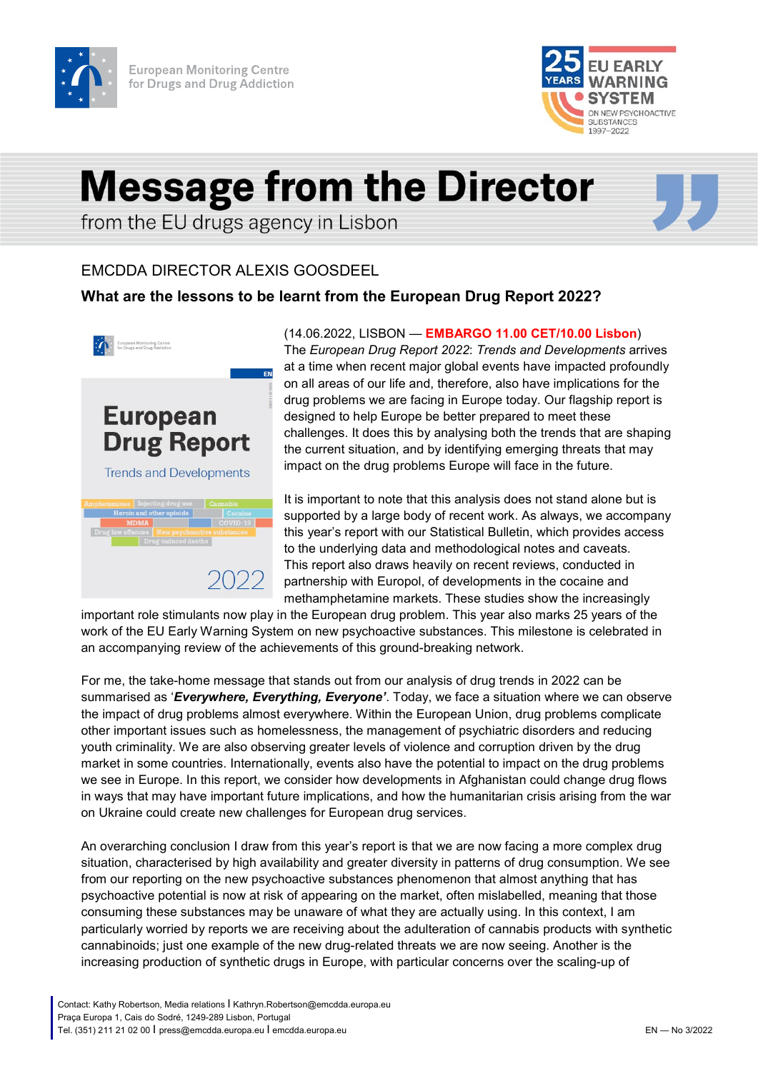



## **Message from the Director**

from the EU drugs agency in Lisbon

## EMCDDA DIRECTOR ALEXIS GOOSDEEL

## **What are the lessons to be learnt from the European Drug Report 2022?**



**European** 

**Drug Report** 

**Trends and Developments** 

(14.06.2022, LISBON — **EMBARGO 11.00 CET/10.00 Lisbon**) The *European Drug Report 2022*: *Trends and Developments* arrives at a time when recent major global events have impacted profoundly on all areas of our life and, therefore, also have implications for the drug problems we are facing in Europe today. Our flagship report is designed to help Europe be better prepared to meet these challenges. It does this by analysing both the trends that are shaping the current situation, and by identifying emerging threats that may impact on the drug problems Europe will face in the future.

It is important to note that this analysis does not stand alone but is supported by a large body of recent work. As always, we accompany this year's report with our Statistical Bulletin, which provides access to the underlying data and methodological notes and caveats. This report also draws heavily on recent reviews, conducted in partnership with Europol, of developments in the cocaine and methamphetamine markets. These studies show the increasingly

important role stimulants now play in the European drug problem. This year also marks 25 years of the work of the EU Early Warning System on new psychoactive substances. This milestone is celebrated in an accompanying review of the achievements of this ground-breaking network.

For me, the take-home message that stands out from our analysis of drug trends in 2022 can be summarised as '*Everywhere, Everything, Everyone'*. Today, we face a situation where we can observe the impact of drug problems almost everywhere. Within the European Union, drug problems complicate other important issues such as homelessness, the management of psychiatric disorders and reducing youth criminality. We are also observing greater levels of violence and corruption driven by the drug market in some countries. Internationally, events also have the potential to impact on the drug problems we see in Europe. In this report, we consider how developments in Afghanistan could change drug flows in ways that may have important future implications, and how the humanitarian crisis arising from the war on Ukraine could create new challenges for European drug services.

An overarching conclusion I draw from this year's report is that we are now facing a more complex drug situation, characterised by high availability and greater diversity in patterns of drug consumption. We see from our reporting on the new psychoactive substances phenomenon that almost anything that has psychoactive potential is now at risk of appearing on the market, often mislabelled, meaning that those consuming these substances may be unaware of what they are actually using. In this context, I am particularly worried by reports we are receiving about the adulteration of cannabis products with synthetic cannabinoids; just one example of the new drug-related threats we are now seeing. Another is the increasing production of synthetic drugs in Europe, with particular concerns over the scaling-up of